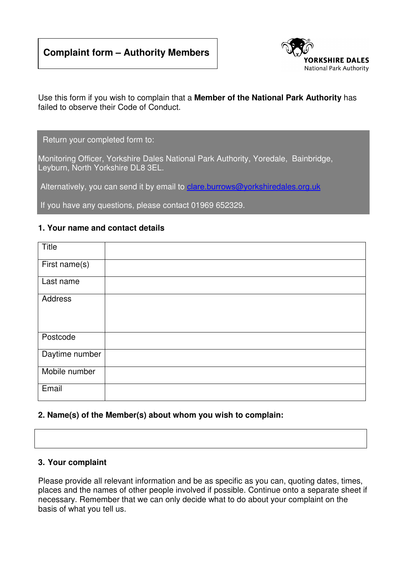# **Complaint form – Authority Members**



Use this form if you wish to complain that a **Member of the National Park Authority** has failed to observe their Code of Conduct.

Return your completed form to:

Monitoring Officer, Yorkshire Dales National Park Authority, Yoredale, Bainbridge, Leyburn, North Yorkshire DL8 3EL.

Alternatively, you can send it by email to clare.burrows@yorkshiredales.org.uk

If you have any questions, please contact 01969 652329.

### **1. Your name and contact details**

| Title          |  |
|----------------|--|
| First name(s)  |  |
| Last name      |  |
| <b>Address</b> |  |
| Postcode       |  |
| Daytime number |  |
| Mobile number  |  |
| Email          |  |

#### **2. Name(s) of the Member(s) about whom you wish to complain:**

#### **3. Your complaint**

Please provide all relevant information and be as specific as you can, quoting dates, times, places and the names of other people involved if possible. Continue onto a separate sheet if necessary. Remember that we can only decide what to do about your complaint on the basis of what you tell us.